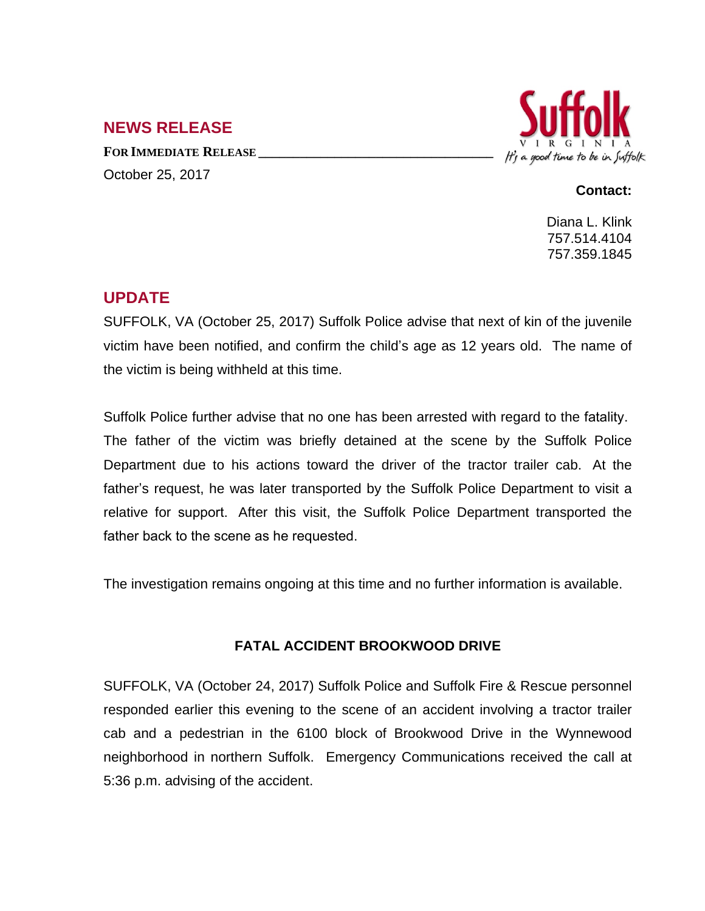## **NEWS RELEASE**

**FOR IMMEDIATE RELEASE \_\_\_\_\_\_\_\_\_\_\_\_\_\_\_\_\_\_\_\_\_\_\_\_\_\_\_\_\_\_\_\_\_\_** October 25, 2017



## **Contact:**

Diana L. Klink 757.514.4104 757.359.1845

## **UPDATE**

SUFFOLK, VA (October 25, 2017) Suffolk Police advise that next of kin of the juvenile victim have been notified, and confirm the child's age as 12 years old. The name of the victim is being withheld at this time.

Suffolk Police further advise that no one has been arrested with regard to the fatality. The father of the victim was briefly detained at the scene by the Suffolk Police Department due to his actions toward the driver of the tractor trailer cab. At the father's request, he was later transported by the Suffolk Police Department to visit a relative for support. After this visit, the Suffolk Police Department transported the father back to the scene as he requested.

The investigation remains ongoing at this time and no further information is available.

## **FATAL ACCIDENT BROOKWOOD DRIVE**

SUFFOLK, VA (October 24, 2017) Suffolk Police and Suffolk Fire & Rescue personnel responded earlier this evening to the scene of an accident involving a tractor trailer cab and a pedestrian in the 6100 block of Brookwood Drive in the Wynnewood neighborhood in northern Suffolk. Emergency Communications received the call at 5:36 p.m. advising of the accident.